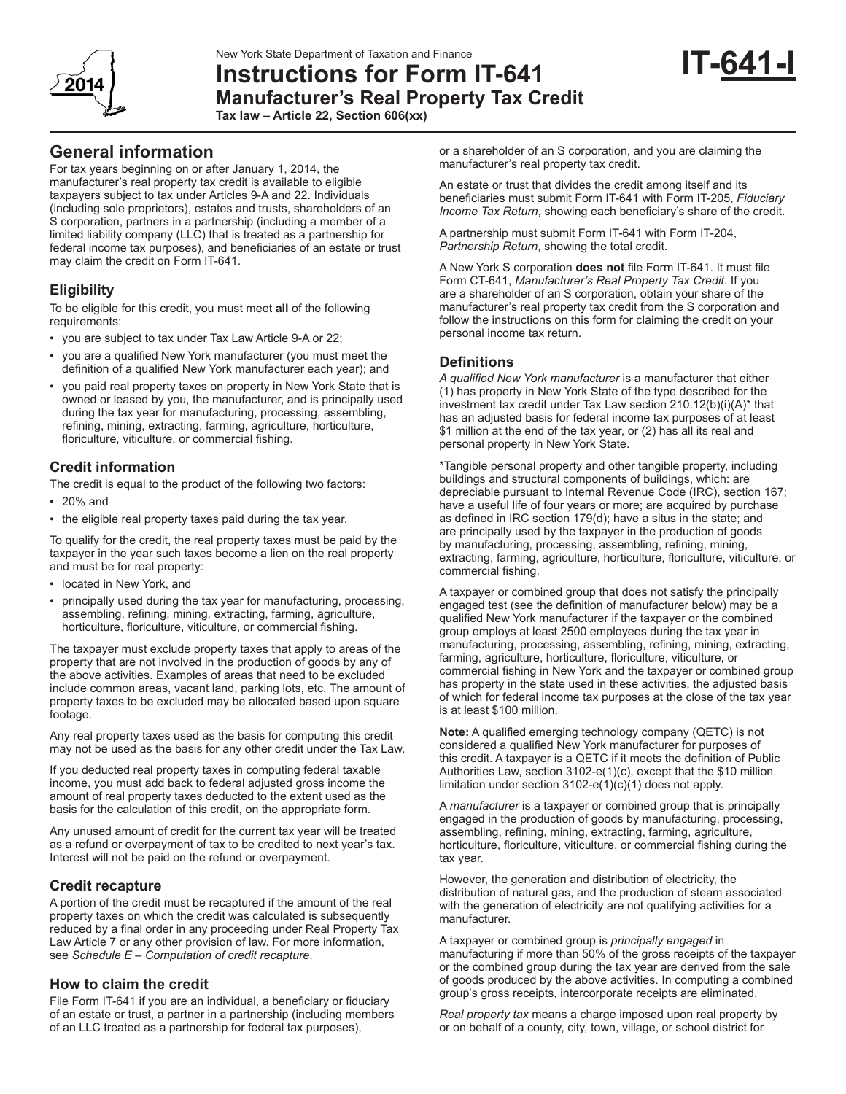# **Instructions for Form IT-641 Manufacturer's Real Property Tax Credit**

**Tax law – Article 22, Section 606(xx)**

# **General information**

For tax years beginning on or after January 1, 2014, the manufacturer's real property tax credit is available to eligible taxpayers subject to tax under Articles 9-A and 22. Individuals (including sole proprietors), estates and trusts, shareholders of an S corporation, partners in a partnership (including a member of a limited liability company (LLC) that is treated as a partnership for federal income tax purposes), and beneficiaries of an estate or trust may claim the credit on Form IT-641.

# **Eligibility**

To be eligible for this credit, you must meet **all** of the following requirements:

- you are subject to tax under Tax Law Article 9-A or 22;
- you are a qualified New York manufacturer (you must meet the definition of a qualified New York manufacturer each year); and
- you paid real property taxes on property in New York State that is owned or leased by you, the manufacturer, and is principally used during the tax year for manufacturing, processing, assembling, refining, mining, extracting, farming, agriculture, horticulture, floriculture, viticulture, or commercial fishing.

# **Credit information**

The credit is equal to the product of the following two factors:

- 20% and
- the eligible real property taxes paid during the tax year.

To qualify for the credit, the real property taxes must be paid by the taxpayer in the year such taxes become a lien on the real property and must be for real property:

- located in New York, and
- principally used during the tax year for manufacturing, processing, assembling, refining, mining, extracting, farming, agriculture, horticulture, floriculture, viticulture, or commercial fishing.

The taxpayer must exclude property taxes that apply to areas of the property that are not involved in the production of goods by any of the above activities. Examples of areas that need to be excluded include common areas, vacant land, parking lots, etc. The amount of property taxes to be excluded may be allocated based upon square footage.

Any real property taxes used as the basis for computing this credit may not be used as the basis for any other credit under the Tax Law.

If you deducted real property taxes in computing federal taxable income, you must add back to federal adjusted gross income the amount of real property taxes deducted to the extent used as the basis for the calculation of this credit, on the appropriate form.

Any unused amount of credit for the current tax year will be treated as a refund or overpayment of tax to be credited to next year's tax. Interest will not be paid on the refund or overpayment.

# **Credit recapture**

A portion of the credit must be recaptured if the amount of the real property taxes on which the credit was calculated is subsequently reduced by a final order in any proceeding under Real Property Tax Law Article 7 or any other provision of law. For more information, see *Schedule E – Computation of credit recapture*.

# **How to claim the credit**

File Form IT-641 if you are an individual, a beneficiary or fiduciary of an estate or trust, a partner in a partnership (including members of an LLC treated as a partnership for federal tax purposes),

or a shareholder of an S corporation, and you are claiming the manufacturer's real property tax credit.

An estate or trust that divides the credit among itself and its beneficiaries must submit Form IT-641 with Form IT-205, *Fiduciary Income Tax Return*, showing each beneficiary's share of the credit.

A partnership must submit Form IT-641 with Form IT-204, *Partnership Return*, showing the total credit.

A New York S corporation **does not** file Form IT-641. It must file Form CT-641, *Manufacturer's Real Property Tax Credit*. If you are a shareholder of an S corporation, obtain your share of the manufacturer's real property tax credit from the S corporation and follow the instructions on this form for claiming the credit on your personal income tax return.

## **Definitions**

*A qualified New York manufacturer* is a manufacturer that either (1) has property in New York State of the type described for the investment tax credit under Tax Law section 210.12(b)(i)(A)\* that has an adjusted basis for federal income tax purposes of at least \$1 million at the end of the tax year, or (2) has all its real and personal property in New York State.

\*Tangible personal property and other tangible property, including buildings and structural components of buildings, which: are depreciable pursuant to Internal Revenue Code (IRC), section 167; have a useful life of four years or more; are acquired by purchase as defined in IRC section 179(d); have a situs in the state; and are principally used by the taxpayer in the production of goods by manufacturing, processing, assembling, refining, mining, extracting, farming, agriculture, horticulture, floriculture, viticulture, or commercial fishing.

A taxpayer or combined group that does not satisfy the principally engaged test (see the definition of manufacturer below) may be a qualified New York manufacturer if the taxpayer or the combined group employs at least 2500 employees during the tax year in manufacturing, processing, assembling, refining, mining, extracting, farming, agriculture, horticulture, floriculture, viticulture, or commercial fishing in New York and the taxpayer or combined group has property in the state used in these activities, the adjusted basis of which for federal income tax purposes at the close of the tax year is at least \$100 million.

**Note:** A qualified emerging technology company (QETC) is not considered a qualified New York manufacturer for purposes of this credit. A taxpayer is a QETC if it meets the definition of Public Authorities Law, section 3102-e(1)(c), except that the \$10 million limitation under section  $3102-e(1)(c)(1)$  does not apply.

A *manufacturer* is a taxpayer or combined group that is principally engaged in the production of goods by manufacturing, processing, assembling, refining, mining, extracting, farming, agriculture, horticulture, floriculture, viticulture, or commercial fishing during the tax year.

However, the generation and distribution of electricity, the distribution of natural gas, and the production of steam associated with the generation of electricity are not qualifying activities for a manufacturer.

A taxpayer or combined group is *principally engaged* in manufacturing if more than 50% of the gross receipts of the taxpayer or the combined group during the tax year are derived from the sale of goods produced by the above activities. In computing a combined group's gross receipts, intercorporate receipts are eliminated.

*Real property tax* means a charge imposed upon real property by or on behalf of a county, city, town, village, or school district for